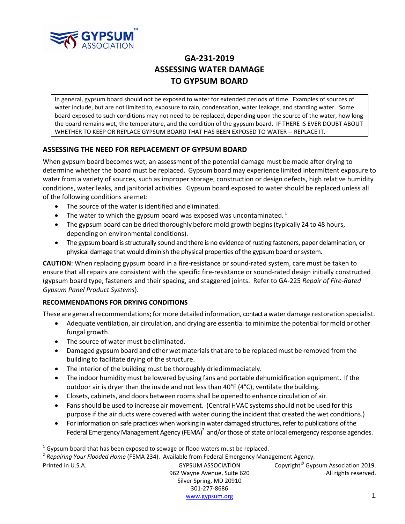

# **GA‐231‐2019 ASSESSING WATER DAMAGE TO GYPSUM BOARD**

In general, gypsum board should not be exposed to water for extended periods of time. Examples of sources of water include, but are not limited to, exposure to rain, condensation, water leakage, and standing water. Some board exposed to such conditions may not need to be replaced, depending upon the source of the water, how long the board remains wet, the temperature, and the condition of the gypsum board. IF THERE IS EVER DOUBT ABOUT WHETHER TO KEEP OR REPLACE GYPSUM BOARD THAT HAS BEEN EXPOSED TO WATER ‐‐ REPLACE IT.

### **ASSESSING THE NEED FOR REPLACEMENT OF GYPSUM BOARD**

When gypsum board becomes wet, an assessment of the potential damage must be made after drying to determine whether the board must be replaced. Gypsum board may experience limited intermittent exposure to water from a variety of sources, such as improper storage, construction or design defects, high relative humidity conditions, water leaks, and janitorial activities. Gypsum board exposed to water should be replaced unless all of the following conditions aremet:

- The source of the water is identified and eliminated.
- $\bullet$  The water to which the gypsum board was exposed was uncontaminated.<sup>1</sup>
- The gypsum board can be dried thoroughly before mold growth begins (typically 24 to 48 hours, depending on environmental conditions).
- The gypsum board is structurally sound and there is no evidence of rusting fasteners, paper delamination, or physical damage that would diminish the physical properties of the gypsum board or system.

**CAUTION**: When replacing gypsum board in a fire‐resistance or sound‐rated system, care must be taken to ensure that all repairs are consistent with the specific fire‐resistance or sound‐rated design initially constructed (gypsum board type, fasteners and their spacing, and staggered joints. Refer to GA‐225 *Repair of Fire‐Rated Gypsum Panel Product Systems*).

### **RECOMMENDATIONS FOR DRYING CONDITIONS**

These are general recommendations; for more detailed information, contact a water damage restoration specialist.

- Adequate ventilation, air circulation, and drying are essential to minimize the potential for mold or other fungal growth.
- The source of water must be eliminated.

÷.

- Damaged gypsum board and other wet materials that are to be replaced must be removed from the building to facilitate drying of the structure.
- The interior of the building must be thoroughly dried immediately.
- The indoor humidity must be lowered by using fans and portable dehumidification equipment. If the outdoor air is dryer than the inside and not less than 40°F (4°C), ventilate the building.
- Closets, cabinets, and doors between roomsshall be opened to enhance circulation of air.
- Fans should be used to increase air movement. (Central HVAC systems should not be used for this purpose if the air ducts were covered with water during the incident that created the wet conditions.)
- For information on safe practices when working in water damaged structures, refer to publications of the Federal Emergency Management Agency (FEMA)<sup>2</sup> and/or those of state or local emergency response agencies.

<sup>2</sup> *Repairing Your Flooded Home* (FEMA 234). Available from Federal Emergency Management Agency.

| Printed in U.S.A. | <b>GYPSUM ASSOCIATION</b>   | Copyright <sup>©</sup> Gypsum Association 2019. |
|-------------------|-----------------------------|-------------------------------------------------|
|                   | 962 Wayne Avenue, Suite 620 | All rights reserved.                            |
|                   | Silver Spring, MD 20910     |                                                 |
|                   | 301-277-8686                |                                                 |
|                   |                             |                                                 |

 $1$  Gypsum board that has been exposed to sewage or flood waters must be replaced.